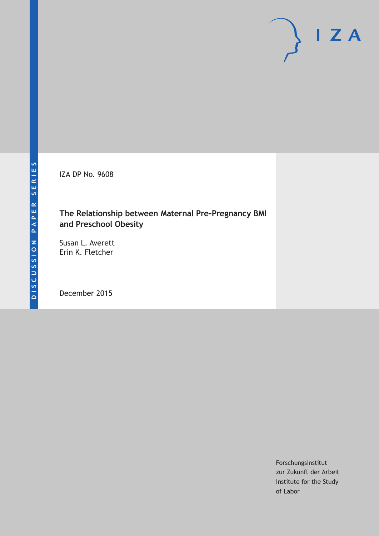IZA DP No. 9608

# **The Relationship between Maternal Pre-Pregnancy BMI and Preschool Obesity**

Susan L. Averett Erin K. Fletcher

December 2015

Forschungsinstitut zur Zukunft der Arbeit Institute for the Study of Labor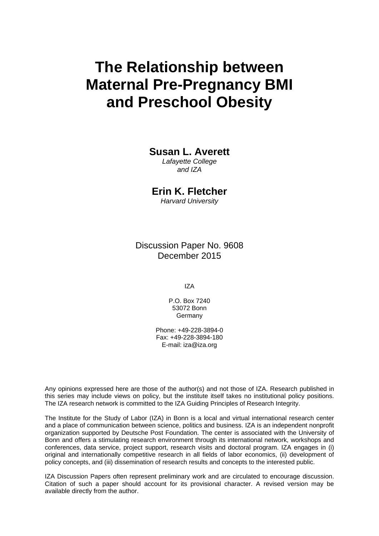# **The Relationship between Maternal Pre-Pregnancy BMI and Preschool Obesity**

### **Susan L. Averett**

*Lafayette College and IZA* 

### **Erin K. Fletcher**

*Harvard University* 

Discussion Paper No. 9608 December 2015

IZA

P.O. Box 7240 53072 Bonn Germany

Phone: +49-228-3894-0 Fax: +49-228-3894-180 E-mail: iza@iza.org

Any opinions expressed here are those of the author(s) and not those of IZA. Research published in this series may include views on policy, but the institute itself takes no institutional policy positions. The IZA research network is committed to the IZA Guiding Principles of Research Integrity.

The Institute for the Study of Labor (IZA) in Bonn is a local and virtual international research center and a place of communication between science, politics and business. IZA is an independent nonprofit organization supported by Deutsche Post Foundation. The center is associated with the University of Bonn and offers a stimulating research environment through its international network, workshops and conferences, data service, project support, research visits and doctoral program. IZA engages in (i) original and internationally competitive research in all fields of labor economics, (ii) development of policy concepts, and (iii) dissemination of research results and concepts to the interested public.

IZA Discussion Papers often represent preliminary work and are circulated to encourage discussion. Citation of such a paper should account for its provisional character. A revised version may be available directly from the author.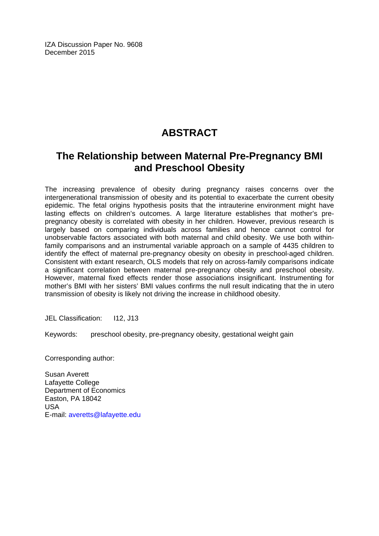IZA Discussion Paper No. 9608 December 2015

# **ABSTRACT**

# **The Relationship between Maternal Pre-Pregnancy BMI and Preschool Obesity**

The increasing prevalence of obesity during pregnancy raises concerns over the intergenerational transmission of obesity and its potential to exacerbate the current obesity epidemic. The fetal origins hypothesis posits that the intrauterine environment might have lasting effects on children's outcomes. A large literature establishes that mother's prepregnancy obesity is correlated with obesity in her children. However, previous research is largely based on comparing individuals across families and hence cannot control for unobservable factors associated with both maternal and child obesity. We use both withinfamily comparisons and an instrumental variable approach on a sample of 4435 children to identify the effect of maternal pre-pregnancy obesity on obesity in preschool-aged children. Consistent with extant research, OLS models that rely on across-family comparisons indicate a significant correlation between maternal pre-pregnancy obesity and preschool obesity. However, maternal fixed effects render those associations insignificant. Instrumenting for mother's BMI with her sisters' BMI values confirms the null result indicating that the in utero transmission of obesity is likely not driving the increase in childhood obesity.

JEL Classification: I12, J13

Keywords: preschool obesity, pre-pregnancy obesity, gestational weight gain

Corresponding author:

Susan Averett Lafayette College Department of Economics Easton, PA 18042 USA E-mail: averetts@lafayette.edu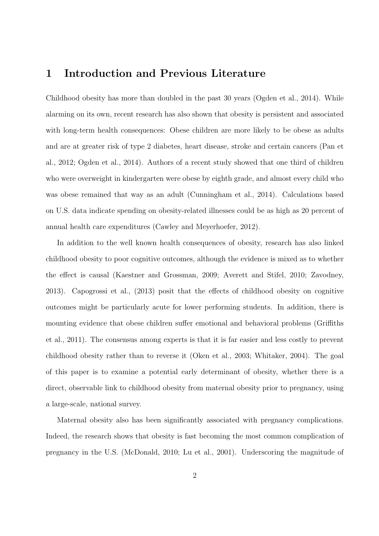### 1 Introduction and Previous Literature

Childhood obesity has more than doubled in the past 30 years (Ogden et al., 2014). While alarming on its own, recent research has also shown that obesity is persistent and associated with long-term health consequences: Obese children are more likely to be obese as adults and are at greater risk of type 2 diabetes, heart disease, stroke and certain cancers (Pan et al., 2012; Ogden et al., 2014). Authors of a recent study showed that one third of children who were overweight in kindergarten were obese by eighth grade, and almost every child who was obese remained that way as an adult (Cunningham et al., 2014). Calculations based on U.S. data indicate spending on obesity-related illnesses could be as high as 20 percent of annual health care expenditures (Cawley and Meyerhoefer, 2012).

In addition to the well known health consequences of obesity, research has also linked childhood obesity to poor cognitive outcomes, although the evidence is mixed as to whether the effect is causal (Kaestner and Grossman, 2009; Averett and Stifel, 2010; Zavodney, 2013). Capogrossi et al., (2013) posit that the effects of childhood obesity on cognitive outcomes might be particularly acute for lower performing students. In addition, there is mounting evidence that obese children suffer emotional and behavioral problems (Griffiths et al., 2011). The consensus among experts is that it is far easier and less costly to prevent childhood obesity rather than to reverse it (Oken et al., 2003; Whitaker, 2004). The goal of this paper is to examine a potential early determinant of obesity, whether there is a direct, observable link to childhood obesity from maternal obesity prior to pregnancy, using a large-scale, national survey.

Maternal obesity also has been significantly associated with pregnancy complications. Indeed, the research shows that obesity is fast becoming the most common complication of pregnancy in the U.S. (McDonald, 2010; Lu et al., 2001). Underscoring the magnitude of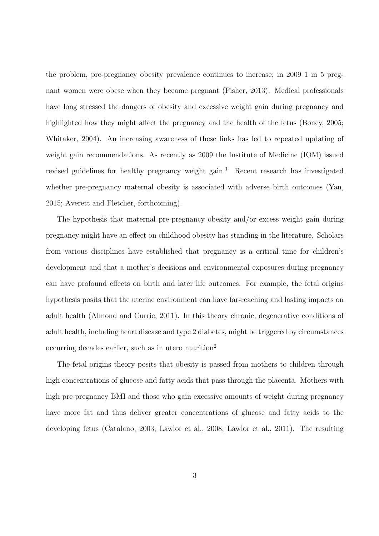the problem, pre-pregnancy obesity prevalence continues to increase; in 2009 1 in 5 pregnant women were obese when they became pregnant (Fisher, 2013). Medical professionals have long stressed the dangers of obesity and excessive weight gain during pregnancy and highlighted how they might affect the pregnancy and the health of the fetus (Boney, 2005; Whitaker, 2004). An increasing awareness of these links has led to repeated updating of weight gain recommendations. As recently as 2009 the Institute of Medicine (IOM) issued revised guidelines for healthy pregnancy weight gain.<sup>1</sup> Recent research has investigated whether pre-pregnancy maternal obesity is associated with adverse birth outcomes (Yan, 2015; Averett and Fletcher, forthcoming).

The hypothesis that maternal pre-pregnancy obesity and/or excess weight gain during pregnancy might have an effect on childhood obesity has standing in the literature. Scholars from various disciplines have established that pregnancy is a critical time for children's development and that a mother's decisions and environmental exposures during pregnancy can have profound effects on birth and later life outcomes. For example, the fetal origins hypothesis posits that the uterine environment can have far-reaching and lasting impacts on adult health (Almond and Currie, 2011). In this theory chronic, degenerative conditions of adult health, including heart disease and type 2 diabetes, might be triggered by circumstances occurring decades earlier, such as in utero nutrition<sup>2</sup>

The fetal origins theory posits that obesity is passed from mothers to children through high concentrations of glucose and fatty acids that pass through the placenta. Mothers with high pre-pregnancy BMI and those who gain excessive amounts of weight during pregnancy have more fat and thus deliver greater concentrations of glucose and fatty acids to the developing fetus (Catalano, 2003; Lawlor et al., 2008; Lawlor et al., 2011). The resulting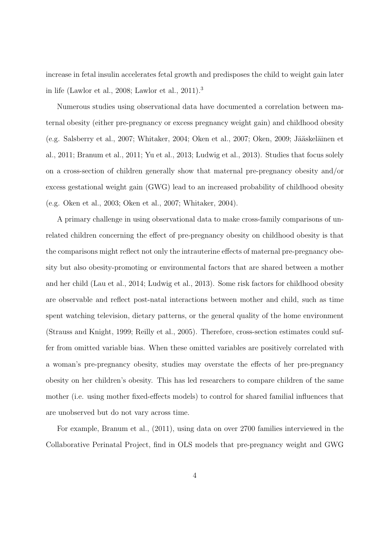increase in fetal insulin accelerates fetal growth and predisposes the child to weight gain later in life (Lawlor et al., 2008; Lawlor et al., 2011).<sup>3</sup>

Numerous studies using observational data have documented a correlation between maternal obesity (either pre-pregnancy or excess pregnancy weight gain) and childhood obesity (e.g. Salsberry et al., 2007; Whitaker, 2004; Oken et al., 2007; Oken, 2009; Jääskeläinen et al., 2011; Branum et al., 2011; Yu et al., 2013; Ludwig et al., 2013). Studies that focus solely on a cross-section of children generally show that maternal pre-pregnancy obesity and/or excess gestational weight gain (GWG) lead to an increased probability of childhood obesity (e.g. Oken et al., 2003; Oken et al., 2007; Whitaker, 2004).

A primary challenge in using observational data to make cross-family comparisons of unrelated children concerning the effect of pre-pregnancy obesity on childhood obesity is that the comparisons might reflect not only the intrauterine effects of maternal pre-pregnancy obesity but also obesity-promoting or environmental factors that are shared between a mother and her child (Lau et al., 2014; Ludwig et al., 2013). Some risk factors for childhood obesity are observable and reflect post-natal interactions between mother and child, such as time spent watching television, dietary patterns, or the general quality of the home environment (Strauss and Knight, 1999; Reilly et al., 2005). Therefore, cross-section estimates could suffer from omitted variable bias. When these omitted variables are positively correlated with a woman's pre-pregnancy obesity, studies may overstate the effects of her pre-pregnancy obesity on her children's obesity. This has led researchers to compare children of the same mother (i.e. using mother fixed-effects models) to control for shared familial influences that are unobserved but do not vary across time.

For example, Branum et al., (2011), using data on over 2700 families interviewed in the Collaborative Perinatal Project, find in OLS models that pre-pregnancy weight and GWG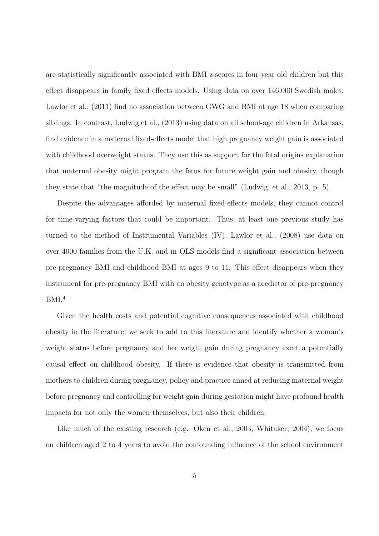are statistically significantly associated with BMI z-scores in four-year old children but this effect disappears in family fixed effects models. Using data on over 146,000 Swedish males, Lawlor et al., (2011) find no association between GWG and BMI at age 18 when comparing siblings. In contrast, Ludwig et al., (2013) using data on all school-age children in Arkansas, find evidence in a maternal fixed-effects model that high pregnancy weight gain is associated with childhood overweight status. They use this as support for the fetal origins explanation that maternal obesity might program the fetus for future weight gain and obesity, though they state that "the magnitude of the effect may be small" (Ludwig, et al., 2013, p. 5).

Despite the advantages afforded by maternal fixed-effects models, they cannot control for time-varying factors that could be important. Thus, at least one previous study has turned to the method of Instrumental Variables (IV). Lawlor et al., (2008) use data on over 4000 families from the U.K. and in OLS models find a significant association between pre-pregnancy BMI and childhood BMI at ages 9 to 11. This effect disappears when they instrument for pre-pregnancy BMI with an obesity genotype as a predictor of pre-pregnancy  $BMI.<sup>4</sup>$ 

Given the health costs and potential cognitive consequences associated with childhood obesity in the literature, we seek to add to this literature and identify whether a woman's weight status before pregnancy and her weight gain during pregnancy exert a potentially causal effect on childhood obesity. If there is evidence that obesity is transmitted from mothers to children during pregnancy, policy and practice aimed at reducing maternal weight before pregnancy and controlling for weight gain during gestation might have profound health impacts for not only the women themselves, but also their children.

Like much of the existing research (e.g. Oken et al., 2003; Whitaker, 2004), we focus on children aged 2 to 4 years to avoid the confounding influence of the school environment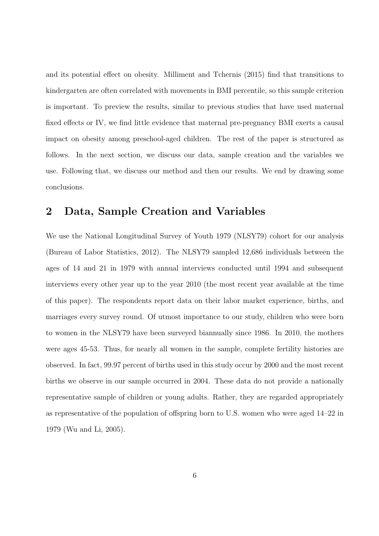and its potential effect on obesity. Milliment and Tchernis (2015) find that transitions to kindergarten are often correlated with movements in BMI percentile, so this sample criterion is important. To preview the results, similar to previous studies that have used maternal fixed effects or IV, we find little evidence that maternal pre-pregnancy BMI exerts a causal impact on obesity among preschool-aged children. The rest of the paper is structured as follows. In the next section, we discuss our data, sample creation and the variables we use. Following that, we discuss our method and then our results. We end by drawing some conclusions.

# 2 Data, Sample Creation and Variables

We use the National Longitudinal Survey of Youth 1979 (NLSY79) cohort for our analysis (Bureau of Labor Statistics, 2012). The NLSY79 sampled 12,686 individuals between the ages of 14 and 21 in 1979 with annual interviews conducted until 1994 and subsequent interviews every other year up to the year 2010 (the most recent year available at the time of this paper). The respondents report data on their labor market experience, births, and marriages every survey round. Of utmost importance to our study, children who were born to women in the NLSY79 have been surveyed biannually since 1986. In 2010, the mothers were ages 45-53. Thus, for nearly all women in the sample, complete fertility histories are observed. In fact, 99.97 percent of births used in this study occur by 2000 and the most recent births we observe in our sample occurred in 2004. These data do not provide a nationally representative sample of children or young adults. Rather, they are regarded appropriately as representative of the population of offspring born to U.S. women who were aged 14–22 in 1979 (Wu and Li, 2005).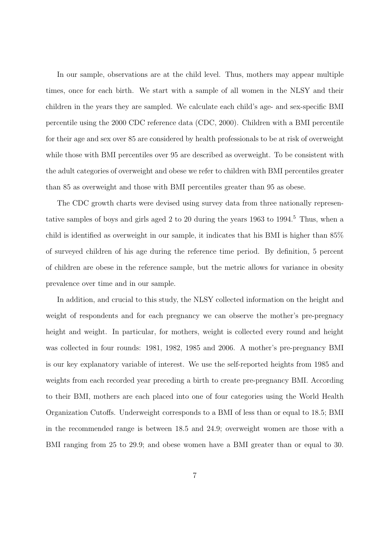In our sample, observations are at the child level. Thus, mothers may appear multiple times, once for each birth. We start with a sample of all women in the NLSY and their children in the years they are sampled. We calculate each child's age- and sex-specific BMI percentile using the 2000 CDC reference data (CDC, 2000). Children with a BMI percentile for their age and sex over 85 are considered by health professionals to be at risk of overweight while those with BMI percentiles over 95 are described as overweight. To be consistent with the adult categories of overweight and obese we refer to children with BMI percentiles greater than 85 as overweight and those with BMI percentiles greater than 95 as obese.

The CDC growth charts were devised using survey data from three nationally representative samples of boys and girls aged 2 to 20 during the years  $1963$  to  $1994<sup>5</sup>$ . Thus, when a child is identified as overweight in our sample, it indicates that his BMI is higher than 85% of surveyed children of his age during the reference time period. By definition, 5 percent of children are obese in the reference sample, but the metric allows for variance in obesity prevalence over time and in our sample.

In addition, and crucial to this study, the NLSY collected information on the height and weight of respondents and for each pregnancy we can observe the mother's pre-pregnacy height and weight. In particular, for mothers, weight is collected every round and height was collected in four rounds: 1981, 1982, 1985 and 2006. A mother's pre-pregnancy BMI is our key explanatory variable of interest. We use the self-reported heights from 1985 and weights from each recorded year preceding a birth to create pre-pregnancy BMI. According to their BMI, mothers are each placed into one of four categories using the World Health Organization Cutoffs. Underweight corresponds to a BMI of less than or equal to 18.5; BMI in the recommended range is between 18.5 and 24.9; overweight women are those with a BMI ranging from 25 to 29.9; and obese women have a BMI greater than or equal to 30.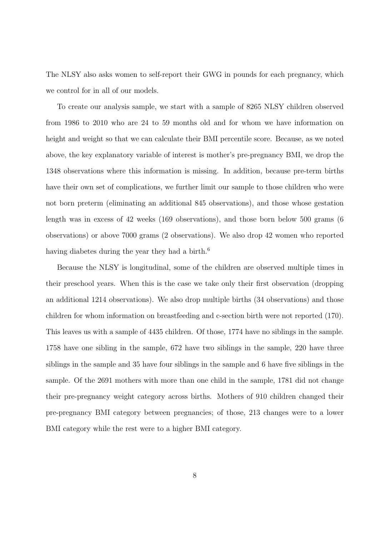The NLSY also asks women to self-report their GWG in pounds for each pregnancy, which we control for in all of our models.

To create our analysis sample, we start with a sample of 8265 NLSY children observed from 1986 to 2010 who are 24 to 59 months old and for whom we have information on height and weight so that we can calculate their BMI percentile score. Because, as we noted above, the key explanatory variable of interest is mother's pre-pregnancy BMI, we drop the 1348 observations where this information is missing. In addition, because pre-term births have their own set of complications, we further limit our sample to those children who were not born preterm (eliminating an additional 845 observations), and those whose gestation length was in excess of 42 weeks (169 observations), and those born below 500 grams (6 observations) or above 7000 grams (2 observations). We also drop 42 women who reported having diabetes during the year they had a birth.<sup>6</sup>

Because the NLSY is longitudinal, some of the children are observed multiple times in their preschool years. When this is the case we take only their first observation (dropping an additional 1214 observations). We also drop multiple births (34 observations) and those children for whom information on breastfeeding and c-section birth were not reported (170). This leaves us with a sample of 4435 children. Of those, 1774 have no siblings in the sample. 1758 have one sibling in the sample, 672 have two siblings in the sample, 220 have three siblings in the sample and 35 have four siblings in the sample and 6 have five siblings in the sample. Of the 2691 mothers with more than one child in the sample, 1781 did not change their pre-pregnancy weight category across births. Mothers of 910 children changed their pre-pregnancy BMI category between pregnancies; of those, 213 changes were to a lower BMI category while the rest were to a higher BMI category.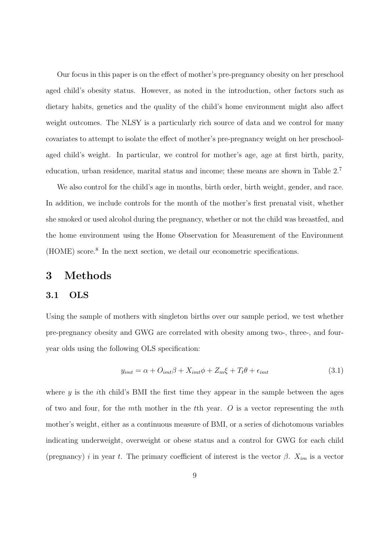Our focus in this paper is on the effect of mother's pre-pregnancy obesity on her preschool aged child's obesity status. However, as noted in the introduction, other factors such as dietary habits, genetics and the quality of the child's home environment might also affect weight outcomes. The NLSY is a particularly rich source of data and we control for many covariates to attempt to isolate the effect of mother's pre-pregnancy weight on her preschoolaged child's weight. In particular, we control for mother's age, age at first birth, parity, education, urban residence, marital status and income; these means are shown in Table 2.<sup>7</sup>

We also control for the child's age in months, birth order, birth weight, gender, and race. In addition, we include controls for the month of the mother's first prenatal visit, whether she smoked or used alcohol during the pregnancy, whether or not the child was breastfed, and the home environment using the Home Observation for Measurement of the Environment (HOME) score.<sup>8</sup> In the next section, we detail our econometric specifications.

### 3 Methods

#### 3.1 OLS

Using the sample of mothers with singleton births over our sample period, we test whether pre-pregnancy obesity and GWG are correlated with obesity among two-, three-, and fouryear olds using the following OLS specification:

$$
y_{imt} = \alpha + O_{imt}\beta + X_{imt}\phi + Z_m\xi + T_t\theta + \epsilon_{imt}
$$
\n(3.1)

where  $y$  is the *i*th child's BMI the first time they appear in the sample between the ages of two and four, for the mth mother in the tth year. O is a vector representing the mth mother's weight, either as a continuous measure of BMI, or a series of dichotomous variables indicating underweight, overweight or obese status and a control for GWG for each child (pregnancy) i in year t. The primary coefficient of interest is the vector  $\beta$ .  $X_{im}$  is a vector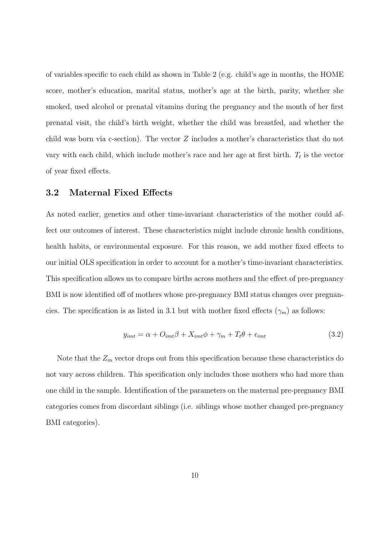of variables specific to each child as shown in Table 2 (e.g. child's age in months, the HOME score, mother's education, marital status, mother's age at the birth, parity, whether she smoked, used alcohol or prenatal vitamins during the pregnancy and the month of her first prenatal visit, the child's birth weight, whether the child was breastfed, and whether the child was born via c-section). The vector  $Z$  includes a mother's characteristics that do not vary with each child, which include mother's race and her age at first birth.  $T_t$  is the vector of year fixed effects.

#### 3.2 Maternal Fixed Effects

As noted earlier, genetics and other time-invariant characteristics of the mother could affect our outcomes of interest. These characteristics might include chronic health conditions, health habits, or environmental exposure. For this reason, we add mother fixed effects to our initial OLS specification in order to account for a mother's time-invariant characteristics. This specification allows us to compare births across mothers and the effect of pre-pregnancy BMI is now identified off of mothers whose pre-pregnancy BMI status changes over pregnancies. The specification is as listed in 3.1 but with mother fixed effects  $(\gamma_m)$  as follows:

$$
y_{imt} = \alpha + O_{imt}\beta + X_{imt}\phi + \gamma_m + T_t\theta + \epsilon_{imt}
$$
\n
$$
(3.2)
$$

Note that the  $Z_m$  vector drops out from this specification because these characteristics do not vary across children. This specification only includes those mothers who had more than one child in the sample. Identification of the parameters on the maternal pre-pregnancy BMI categories comes from discordant siblings (i.e. siblings whose mother changed pre-pregnancy BMI categories).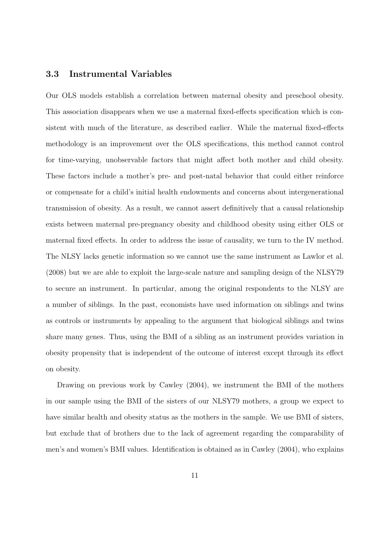#### 3.3 Instrumental Variables

Our OLS models establish a correlation between maternal obesity and preschool obesity. This association disappears when we use a maternal fixed-effects specification which is consistent with much of the literature, as described earlier. While the maternal fixed-effects methodology is an improvement over the OLS specifications, this method cannot control for time-varying, unobservable factors that might affect both mother and child obesity. These factors include a mother's pre- and post-natal behavior that could either reinforce or compensate for a child's initial health endowments and concerns about intergenerational transmission of obesity. As a result, we cannot assert definitively that a causal relationship exists between maternal pre-pregnancy obesity and childhood obesity using either OLS or maternal fixed effects. In order to address the issue of causality, we turn to the IV method. The NLSY lacks genetic information so we cannot use the same instrument as Lawlor et al. (2008) but we are able to exploit the large-scale nature and sampling design of the NLSY79 to secure an instrument. In particular, among the original respondents to the NLSY are a number of siblings. In the past, economists have used information on siblings and twins as controls or instruments by appealing to the argument that biological siblings and twins share many genes. Thus, using the BMI of a sibling as an instrument provides variation in obesity propensity that is independent of the outcome of interest except through its effect on obesity.

Drawing on previous work by Cawley (2004), we instrument the BMI of the mothers in our sample using the BMI of the sisters of our NLSY79 mothers, a group we expect to have similar health and obesity status as the mothers in the sample. We use BMI of sisters, but exclude that of brothers due to the lack of agreement regarding the comparability of men's and women's BMI values. Identification is obtained as in Cawley (2004), who explains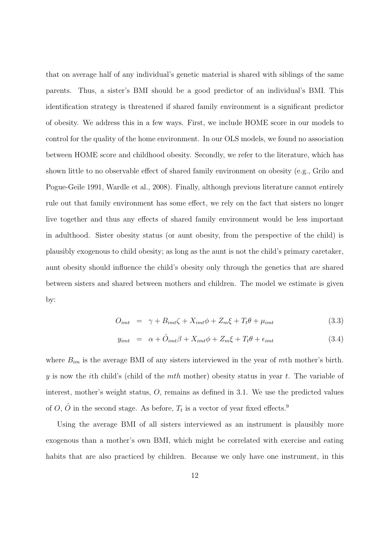that on average half of any individual's genetic material is shared with siblings of the same parents. Thus, a sister's BMI should be a good predictor of an individual's BMI. This identification strategy is threatened if shared family environment is a significant predictor of obesity. We address this in a few ways. First, we include HOME score in our models to control for the quality of the home environment. In our OLS models, we found no association between HOME score and childhood obesity. Secondly, we refer to the literature, which has shown little to no observable effect of shared family environment on obesity (e.g., Grilo and Pogue-Geile 1991, Wardle et al., 2008). Finally, although previous literature cannot entirely rule out that family environment has some effect, we rely on the fact that sisters no longer live together and thus any effects of shared family environment would be less important in adulthood. Sister obesity status (or aunt obesity, from the perspective of the child) is plausibly exogenous to child obesity; as long as the aunt is not the child's primary caretaker, aunt obesity should influence the child's obesity only through the genetics that are shared between sisters and shared between mothers and children. The model we estimate is given by:

$$
O_{imt} = \gamma + B_{imt}\zeta + X_{imt}\phi + Z_m\xi + T_t\theta + \mu_{imt}
$$
\n(3.3)

$$
y_{imt} = \alpha + \hat{O}_{imt}\beta + X_{imt}\phi + Z_m\xi + T_t\theta + \epsilon_{imt}
$$
\n(3.4)

where  $B_{im}$  is the average BMI of any sisters interviewed in the year of mth mother's birth. y is now the ith child's (child of the *mth* mother) obesity status in year t. The variable of interest, mother's weight status, O, remains as defined in 3.1. We use the predicted values of O,  $\hat{O}$  in the second stage. As before,  $T_t$  is a vector of year fixed effects.<sup>9</sup>

Using the average BMI of all sisters interviewed as an instrument is plausibly more exogenous than a mother's own BMI, which might be correlated with exercise and eating habits that are also practiced by children. Because we only have one instrument, in this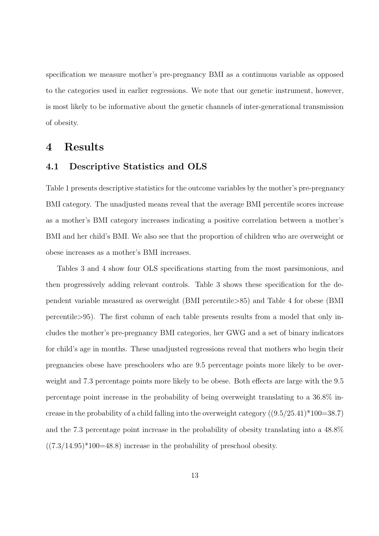specification we measure mother's pre-pregnancy BMI as a continuous variable as opposed to the categories used in earlier regressions. We note that our genetic instrument, however, is most likely to be informative about the genetic channels of inter-generational transmission of obesity.

### 4 Results

#### 4.1 Descriptive Statistics and OLS

Table 1 presents descriptive statistics for the outcome variables by the mother's pre-pregnancy BMI category. The unadjusted means reveal that the average BMI percentile scores increase as a mother's BMI category increases indicating a positive correlation between a mother's BMI and her child's BMI. We also see that the proportion of children who are overweight or obese increases as a mother's BMI increases.

Tables 3 and 4 show four OLS specifications starting from the most parsimonious, and then progressively adding relevant controls. Table 3 shows these specification for the dependent variable measured as overweight (BMI percentile>85) and Table 4 for obese (BMI percentile>95). The first column of each table presents results from a model that only includes the mother's pre-pregnancy BMI categories, her GWG and a set of binary indicators for child's age in months. These unadjusted regressions reveal that mothers who begin their pregnancies obese have preschoolers who are 9.5 percentage points more likely to be overweight and 7.3 percentage points more likely to be obese. Both effects are large with the 9.5 percentage point increase in the probability of being overweight translating to a 36.8% increase in the probability of a child falling into the overweight category  $((9.5/25.41) * 100=38.7)$ and the 7.3 percentage point increase in the probability of obesity translating into a 48.8%  $((7.3/14.95) * 100 = 48.8)$  increase in the probability of preschool obesity.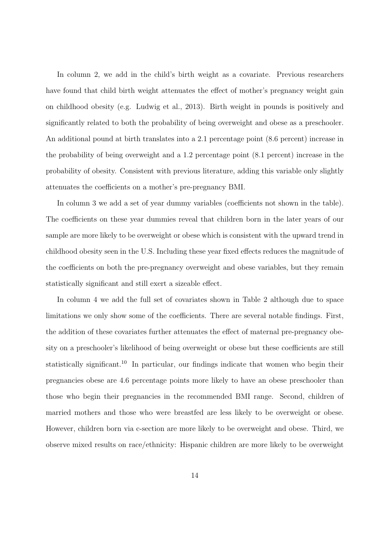In column 2, we add in the child's birth weight as a covariate. Previous researchers have found that child birth weight attenuates the effect of mother's pregnancy weight gain on childhood obesity (e.g. Ludwig et al., 2013). Birth weight in pounds is positively and significantly related to both the probability of being overweight and obese as a preschooler. An additional pound at birth translates into a 2.1 percentage point (8.6 percent) increase in the probability of being overweight and a 1.2 percentage point (8.1 percent) increase in the probability of obesity. Consistent with previous literature, adding this variable only slightly attenuates the coefficients on a mother's pre-pregnancy BMI.

In column 3 we add a set of year dummy variables (coefficients not shown in the table). The coefficients on these year dummies reveal that children born in the later years of our sample are more likely to be overweight or obese which is consistent with the upward trend in childhood obesity seen in the U.S. Including these year fixed effects reduces the magnitude of the coefficients on both the pre-pregnancy overweight and obese variables, but they remain statistically significant and still exert a sizeable effect.

In column 4 we add the full set of covariates shown in Table 2 although due to space limitations we only show some of the coefficients. There are several notable findings. First, the addition of these covariates further attenuates the effect of maternal pre-pregnancy obesity on a preschooler's likelihood of being overweight or obese but these coefficients are still statistically significant.<sup>10</sup> In particular, our findings indicate that women who begin their pregnancies obese are 4.6 percentage points more likely to have an obese preschooler than those who begin their pregnancies in the recommended BMI range. Second, children of married mothers and those who were breastfed are less likely to be overweight or obese. However, children born via c-section are more likely to be overweight and obese. Third, we observe mixed results on race/ethnicity: Hispanic children are more likely to be overweight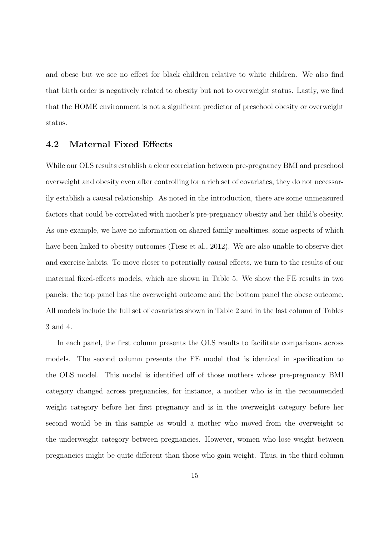and obese but we see no effect for black children relative to white children. We also find that birth order is negatively related to obesity but not to overweight status. Lastly, we find that the HOME environment is not a significant predictor of preschool obesity or overweight status.

#### 4.2 Maternal Fixed Effects

While our OLS results establish a clear correlation between pre-pregnancy BMI and preschool overweight and obesity even after controlling for a rich set of covariates, they do not necessarily establish a causal relationship. As noted in the introduction, there are some unmeasured factors that could be correlated with mother's pre-pregnancy obesity and her child's obesity. As one example, we have no information on shared family mealtimes, some aspects of which have been linked to obesity outcomes (Fiese et al., 2012). We are also unable to observe diet and exercise habits. To move closer to potentially causal effects, we turn to the results of our maternal fixed-effects models, which are shown in Table 5. We show the FE results in two panels: the top panel has the overweight outcome and the bottom panel the obese outcome. All models include the full set of covariates shown in Table 2 and in the last column of Tables 3 and 4.

In each panel, the first column presents the OLS results to facilitate comparisons across models. The second column presents the FE model that is identical in specification to the OLS model. This model is identified off of those mothers whose pre-pregnancy BMI category changed across pregnancies, for instance, a mother who is in the recommended weight category before her first pregnancy and is in the overweight category before her second would be in this sample as would a mother who moved from the overweight to the underweight category between pregnancies. However, women who lose weight between pregnancies might be quite different than those who gain weight. Thus, in the third column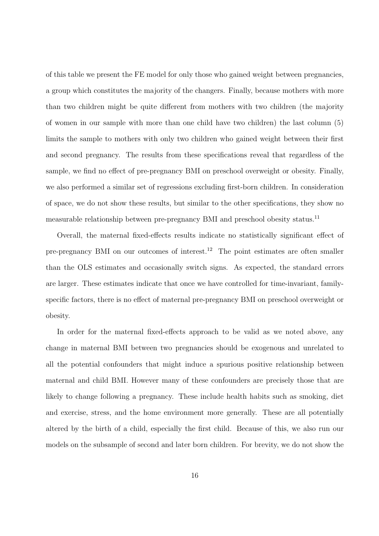of this table we present the FE model for only those who gained weight between pregnancies, a group which constitutes the majority of the changers. Finally, because mothers with more than two children might be quite different from mothers with two children (the majority of women in our sample with more than one child have two children) the last column (5) limits the sample to mothers with only two children who gained weight between their first and second pregnancy. The results from these specifications reveal that regardless of the sample, we find no effect of pre-pregnancy BMI on preschool overweight or obesity. Finally, we also performed a similar set of regressions excluding first-born children. In consideration of space, we do not show these results, but similar to the other specifications, they show no measurable relationship between pre-pregnancy BMI and preschool obesity status.<sup>11</sup>

Overall, the maternal fixed-effects results indicate no statistically significant effect of pre-pregnancy BMI on our outcomes of interest.<sup>12</sup> The point estimates are often smaller than the OLS estimates and occasionally switch signs. As expected, the standard errors are larger. These estimates indicate that once we have controlled for time-invariant, familyspecific factors, there is no effect of maternal pre-pregnancy BMI on preschool overweight or obesity.

In order for the maternal fixed-effects approach to be valid as we noted above, any change in maternal BMI between two pregnancies should be exogenous and unrelated to all the potential confounders that might induce a spurious positive relationship between maternal and child BMI. However many of these confounders are precisely those that are likely to change following a pregnancy. These include health habits such as smoking, diet and exercise, stress, and the home environment more generally. These are all potentially altered by the birth of a child, especially the first child. Because of this, we also run our models on the subsample of second and later born children. For brevity, we do not show the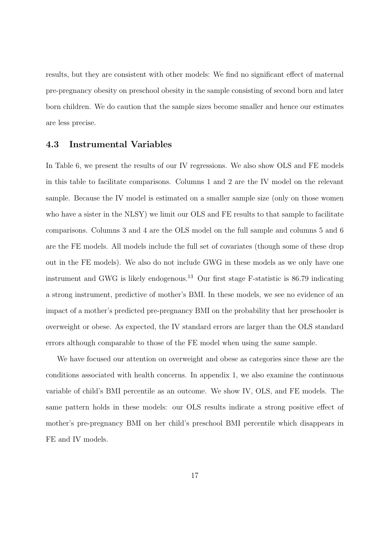results, but they are consistent with other models: We find no significant effect of maternal pre-pregnancy obesity on preschool obesity in the sample consisting of second born and later born children. We do caution that the sample sizes become smaller and hence our estimates are less precise.

#### 4.3 Instrumental Variables

In Table 6, we present the results of our IV regressions. We also show OLS and FE models in this table to facilitate comparisons. Columns 1 and 2 are the IV model on the relevant sample. Because the IV model is estimated on a smaller sample size (only on those women who have a sister in the NLSY) we limit our OLS and FE results to that sample to facilitate comparisons. Columns 3 and 4 are the OLS model on the full sample and columns 5 and 6 are the FE models. All models include the full set of covariates (though some of these drop out in the FE models). We also do not include GWG in these models as we only have one instrument and GWG is likely endogenous.<sup>13</sup> Our first stage F-statistic is 86.79 indicating a strong instrument, predictive of mother's BMI. In these models, we see no evidence of an impact of a mother's predicted pre-pregnancy BMI on the probability that her preschooler is overweight or obese. As expected, the IV standard errors are larger than the OLS standard errors although comparable to those of the FE model when using the same sample.

We have focused our attention on overweight and obese as categories since these are the conditions associated with health concerns. In appendix 1, we also examine the continuous variable of child's BMI percentile as an outcome. We show IV, OLS, and FE models. The same pattern holds in these models: our OLS results indicate a strong positive effect of mother's pre-pregnancy BMI on her child's preschool BMI percentile which disappears in FE and IV models.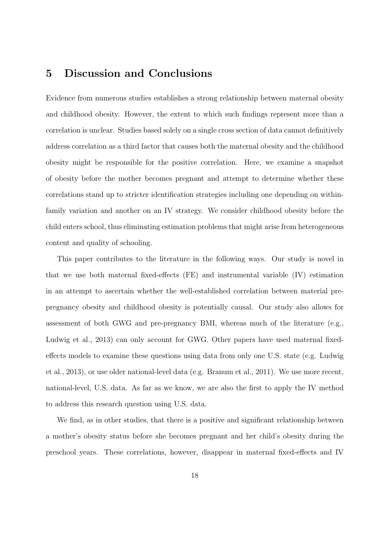# 5 Discussion and Conclusions

Evidence from numerous studies establishes a strong relationship between maternal obesity and childhood obesity. However, the extent to which such findings represent more than a correlation is unclear. Studies based solely on a single cross section of data cannot definitively address correlation as a third factor that causes both the maternal obesity and the childhood obesity might be responsible for the positive correlation. Here, we examine a snapshot of obesity before the mother becomes pregnant and attempt to determine whether these correlations stand up to stricter identification strategies including one depending on withinfamily variation and another on an IV strategy. We consider childhood obesity before the child enters school, thus eliminating estimation problems that might arise from heterogeneous content and quality of schooling.

This paper contributes to the literature in the following ways. Our study is novel in that we use both maternal fixed-effects (FE) and instrumental variable (IV) estimation in an attempt to ascertain whether the well-established correlation between material prepregnancy obesity and childhood obesity is potentially causal. Our study also allows for assessment of both GWG and pre-pregnancy BMI, whereas much of the literature (e.g., Ludwig et al., 2013) can only account for GWG. Other papers have used maternal fixedeffects models to examine these questions using data from only one U.S. state (e.g. Ludwig et al., 2013), or use older national-level data (e.g. Branum et al., 2011). We use more recent, national-level, U.S. data. As far as we know, we are also the first to apply the IV method to address this research question using U.S. data.

We find, as in other studies, that there is a positive and significant relationship between a mother's obesity status before she becomes pregnant and her child's obesity during the preschool years. These correlations, however, disappear in maternal fixed-effects and IV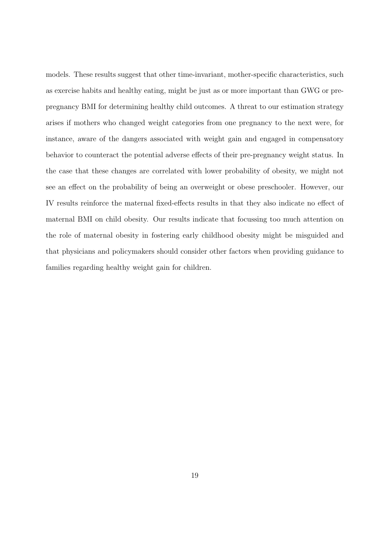models. These results suggest that other time-invariant, mother-specific characteristics, such as exercise habits and healthy eating, might be just as or more important than GWG or prepregnancy BMI for determining healthy child outcomes. A threat to our estimation strategy arises if mothers who changed weight categories from one pregnancy to the next were, for instance, aware of the dangers associated with weight gain and engaged in compensatory behavior to counteract the potential adverse effects of their pre-pregnancy weight status. In the case that these changes are correlated with lower probability of obesity, we might not see an effect on the probability of being an overweight or obese preschooler. However, our IV results reinforce the maternal fixed-effects results in that they also indicate no effect of maternal BMI on child obesity. Our results indicate that focussing too much attention on the role of maternal obesity in fostering early childhood obesity might be misguided and that physicians and policymakers should consider other factors when providing guidance to families regarding healthy weight gain for children.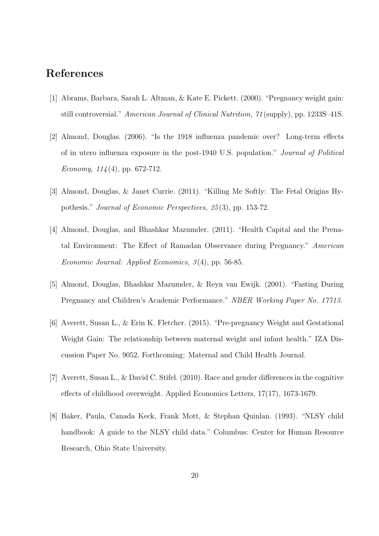# References

- [1] Abrams, Barbara, Sarah L. Altman, & Kate E. Pickett. (2000). "Pregnancy weight gain: still controversial." American Journal of Clinical Nutrition, 71 (supply), pp. 1233S–41S.
- [2] Almond, Douglas. (2006). "Is the 1918 influenza pandemic over? Long-term effects of in utero influenza exposure in the post-1940 U.S. population." Journal of Political Economy,  $114(4)$ , pp. 672-712.
- [3] Almond, Douglas, & Janet Currie. (2011). "Killing Me Softly: The Fetal Origins Hypothesis." Journal of Economic Perspectives, 25 (3), pp. 153-72.
- [4] Almond, Douglas, and Bhashkar Mazumder. (2011). "Health Capital and the Prenatal Environment: The Effect of Ramadan Observance during Pregnancy." American Economic Journal: Applied Economics,  $3(4)$ , pp. 56-85.
- [5] Almond, Douglas, Bhashkar Mazumder, & Reyn van Ewijk. (2001). "Fasting During Pregnancy and Children's Academic Performance." NBER Working Paper No. 17713.
- [6] Averett, Susan L., & Erin K. Fletcher. (2015). "Pre-pregnancy Weight and Gestational Weight Gain: The relationship between maternal weight and infant health." IZA Discussion Paper No. 9052. Forthcoming: Maternal and Child Health Journal.
- [7] Averett, Susan L., & David C. Stifel. (2010). Race and gender differences in the cognitive effects of childhood overweight. Applied Economics Letters, 17(17), 1673-1679.
- [8] Baker, Paula, Canada Keck, Frank Mott, & Stephan Quinlan. (1993). "NLSY child handbook: A guide to the NLSY child data." Columbus: Center for Human Resource Research, Ohio State University.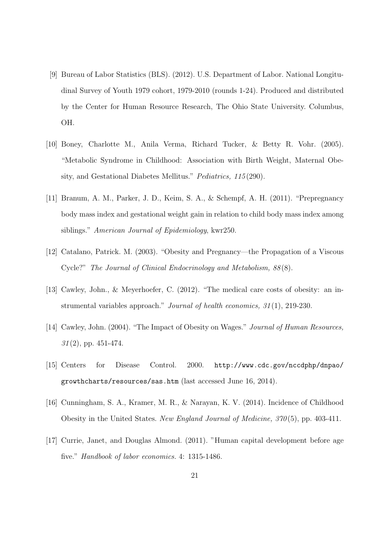- [9] Bureau of Labor Statistics (BLS). (2012). U.S. Department of Labor. National Longitudinal Survey of Youth 1979 cohort, 1979-2010 (rounds 1-24). Produced and distributed by the Center for Human Resource Research, The Ohio State University. Columbus, OH.
- [10] Boney, Charlotte M., Anila Verma, Richard Tucker, & Betty R. Vohr. (2005). "Metabolic Syndrome in Childhood: Association with Birth Weight, Maternal Obesity, and Gestational Diabetes Mellitus." Pediatrics, 115 (290).
- [11] Branum, A. M., Parker, J. D., Keim, S. A., & Schempf, A. H. (2011). "Prepregnancy body mass index and gestational weight gain in relation to child body mass index among siblings." American Journal of Epidemiology, kwr250.
- [12] Catalano, Patrick. M. (2003). "Obesity and Pregnancy—the Propagation of a Viscous Cycle?" The Journal of Clinical Endocrinology and Metabolism, 88 (8).
- [13] Cawley, John., & Meyerhoefer, C. (2012). "The medical care costs of obesity: an instrumental variables approach." Journal of health economics, 31 (1), 219-230.
- [14] Cawley, John. (2004). "The Impact of Obesity on Wages." *Journal of Human Resources*,  $31(2)$ , pp. 451-474.
- [15] Centers for Disease Control. 2000. http://www.cdc.gov/nccdphp/dnpao/ growthcharts/resources/sas.htm (last accessed June 16, 2014).
- [16] Cunningham, S. A., Kramer, M. R., & Narayan, K. V. (2014). Incidence of Childhood Obesity in the United States. New England Journal of Medicine, 370 (5), pp. 403-411.
- [17] Currie, Janet, and Douglas Almond. (2011). "Human capital development before age five." Handbook of labor economics. 4: 1315-1486.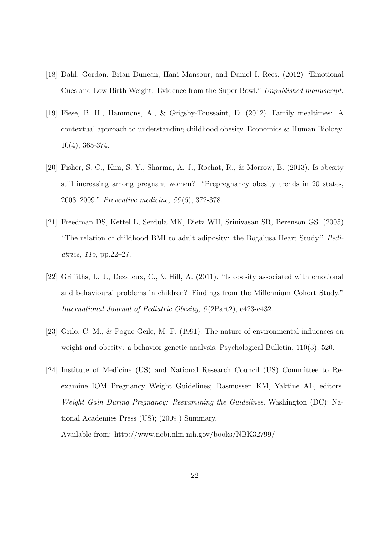- [18] Dahl, Gordon, Brian Duncan, Hani Mansour, and Daniel I. Rees. (2012) "Emotional Cues and Low Birth Weight: Evidence from the Super Bowl." Unpublished manuscript.
- [19] Fiese, B. H., Hammons, A., & Grigsby-Toussaint, D. (2012). Family mealtimes: A contextual approach to understanding childhood obesity. Economics & Human Biology, 10(4), 365-374.
- [20] Fisher, S. C., Kim, S. Y., Sharma, A. J., Rochat, R., & Morrow, B. (2013). Is obesity still increasing among pregnant women? "Prepregnancy obesity trends in 20 states, 2003–2009." Preventive medicine, 56 (6), 372-378.
- [21] Freedman DS, Kettel L, Serdula MK, Dietz WH, Srinivasan SR, Berenson GS. (2005) "The relation of childhood BMI to adult adiposity: the Bogalusa Heart Study." Pediatrics, 115, pp.22–27.
- [22] Griffiths, L. J., Dezateux, C., & Hill, A. (2011). "Is obesity associated with emotional and behavioural problems in children? Findings from the Millennium Cohort Study." International Journal of Pediatric Obesity, 6 (2Part2), e423-e432.
- [23] Grilo, C. M., & Pogue-Geile, M. F. (1991). The nature of environmental influences on weight and obesity: a behavior genetic analysis. Psychological Bulletin, 110(3), 520.
- [24] Institute of Medicine (US) and National Research Council (US) Committee to Reexamine IOM Pregnancy Weight Guidelines; Rasmussen KM, Yaktine AL, editors. Weight Gain During Pregnancy: Reexamining the Guidelines. Washington (DC): National Academies Press (US); (2009.) Summary. Available from: http://www.ncbi.nlm.nih.gov/books/NBK32799/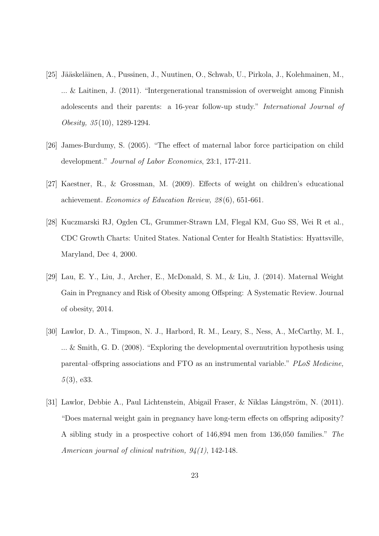- [25] Jääskeläinen, A., Pussinen, J., Nuutinen, O., Schwab, U., Pirkola, J., Kolehmainen, M., ... & Laitinen, J. (2011). "Intergenerational transmission of overweight among Finnish adolescents and their parents: a 16-year follow-up study." International Journal of Obesity, 35 (10), 1289-1294.
- [26] James-Burdumy, S. (2005). "The effect of maternal labor force participation on child development." Journal of Labor Economics, 23:1, 177-211.
- [27] Kaestner, R., & Grossman, M. (2009). Effects of weight on children's educational achievement. Economics of Education Review, 28 (6), 651-661.
- [28] Kuczmarski RJ, Ogden CL, Grummer-Strawn LM, Flegal KM, Guo SS, Wei R et al., CDC Growth Charts: United States. National Center for Health Statistics: Hyattsville, Maryland, Dec 4, 2000.
- [29] Lau, E. Y., Liu, J., Archer, E., McDonald, S. M., & Liu, J. (2014). Maternal Weight Gain in Pregnancy and Risk of Obesity among Offspring: A Systematic Review. Journal of obesity, 2014.
- [30] Lawlor, D. A., Timpson, N. J., Harbord, R. M., Leary, S., Ness, A., McCarthy, M. I., ... & Smith, G. D. (2008). "Exploring the developmental overnutrition hypothesis using parental–offspring associations and FTO as an instrumental variable." PLoS Medicine,  $5(3)$ , e33.
- [31] Lawlor, Debbie A., Paul Lichtenstein, Abigail Fraser, & Niklas Långström, N. (2011). "Does maternal weight gain in pregnancy have long-term effects on offspring adiposity? A sibling study in a prospective cohort of 146,894 men from 136,050 families." The American journal of clinical nutrition,  $94(1)$ , 142-148.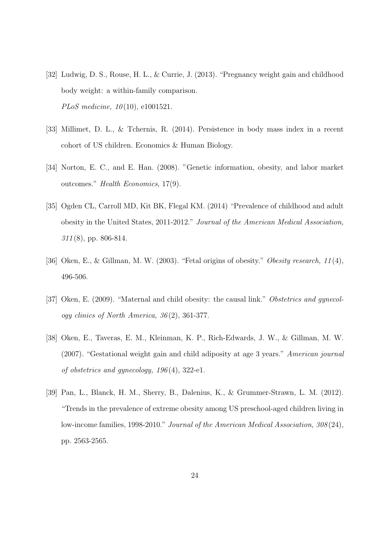- [32] Ludwig, D. S., Rouse, H. L., & Currie, J. (2013). "Pregnancy weight gain and childhood body weight: a within-family comparison. *PLoS medicine, 10*(10), e1001521.
- [33] Millimet, D. L., & Tchernis, R. (2014). Persistence in body mass index in a recent cohort of US children. Economics & Human Biology.
- [34] Norton, E. C., and E. Han. (2008). "Genetic information, obesity, and labor market outcomes." Health Economics, 17(9).
- [35] Ogden CL, Carroll MD, Kit BK, Flegal KM. (2014) "Prevalence of childhood and adult obesity in the United States, 2011-2012." Journal of the American Medical Association,  $311(8)$ , pp. 806-814.
- [36] Oken, E., & Gillman, M. W. (2003). "Fetal origins of obesity." Obesity research, 11 (4), 496-506.
- [37] Oken, E. (2009). "Maternal and child obesity: the causal link." Obstetrics and gynecology clinics of North America, 36 (2), 361-377.
- [38] Oken, E., Taveras, E. M., Kleinman, K. P., Rich-Edwards, J. W., & Gillman, M. W. (2007). "Gestational weight gain and child adiposity at age 3 years." American journal of obstetrics and gynecology, 196 (4), 322-e1.
- [39] Pan, L., Blanck, H. M., Sherry, B., Dalenius, K., & Grummer-Strawn, L. M. (2012). "Trends in the prevalence of extreme obesity among US preschool-aged children living in low-income families, 1998-2010." Journal of the American Medical Association, 308 (24), pp. 2563-2565.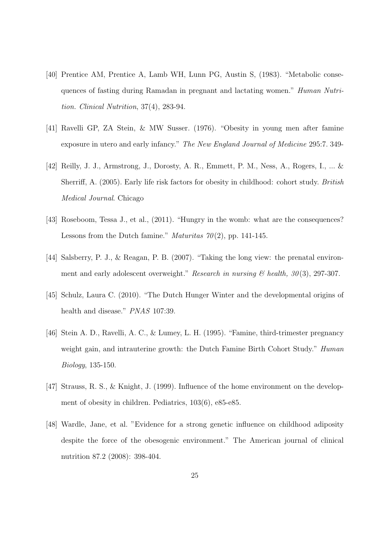- [40] Prentice AM, Prentice A, Lamb WH, Lunn PG, Austin S, (1983). "Metabolic consequences of fasting during Ramadan in pregnant and lactating women." Human Nutrition. Clinical Nutrition, 37(4), 283-94.
- [41] Ravelli GP, ZA Stein, & MW Susser. (1976). "Obesity in young men after famine exposure in utero and early infancy." The New England Journal of Medicine 295:7. 349-
- [42] Reilly, J. J., Armstrong, J., Dorosty, A. R., Emmett, P. M., Ness, A., Rogers, I., ... & Sherriff, A. (2005). Early life risk factors for obesity in childhood: cohort study. British Medical Journal. Chicago
- [43] Roseboom, Tessa J., et al., (2011). "Hungry in the womb: what are the consequences? Lessons from the Dutch famine." *Maturitas 70*(2), pp. 141-145.
- [44] Salsberry, P. J., & Reagan, P. B. (2007). "Taking the long view: the prenatal environment and early adolescent overweight." Research in nursing  $\mathcal C$  health,  $30(3)$ , 297-307.
- [45] Schulz, Laura C. (2010). "The Dutch Hunger Winter and the developmental origins of health and disease." PNAS 107:39.
- [46] Stein A. D., Ravelli, A. C., & Lumey, L. H. (1995). "Famine, third-trimester pregnancy weight gain, and intrauterine growth: the Dutch Famine Birth Cohort Study." *Human* Biology, 135-150.
- [47] Strauss, R. S., & Knight, J. (1999). Influence of the home environment on the development of obesity in children. Pediatrics, 103(6), e85-e85.
- [48] Wardle, Jane, et al. "Evidence for a strong genetic influence on childhood adiposity despite the force of the obesogenic environment." The American journal of clinical nutrition 87.2 (2008): 398-404.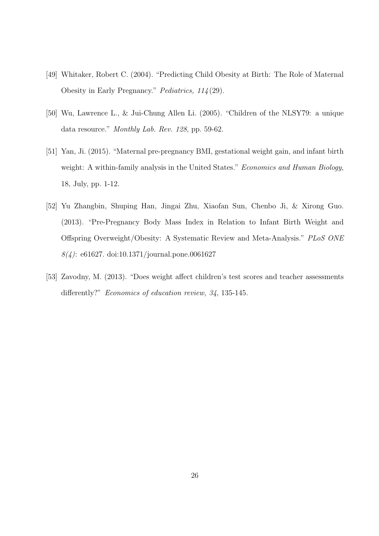- [49] Whitaker, Robert C. (2004). "Predicting Child Obesity at Birth: The Role of Maternal Obesity in Early Pregnancy." Pediatrics, 114 (29).
- [50] Wu, Lawrence L., & Jui-Chung Allen Li. (2005). "Children of the NLSY79: a unique data resource." Monthly Lab. Rev. 128, pp. 59-62.
- [51] Yan, Ji. (2015). "Maternal pre-pregnancy BMI, gestational weight gain, and infant birth weight: A within-family analysis in the United States." Economics and Human Biology, 18, July, pp. 1-12.
- [52] Yu Zhangbin, Shuping Han, Jingai Zhu, Xiaofan Sun, Chenbo Ji, & Xirong Guo. (2013). "Pre-Pregnancy Body Mass Index in Relation to Infant Birth Weight and Offspring Overweight/Obesity: A Systematic Review and Meta-Analysis." PLoS ONE 8(4): e61627. doi:10.1371/journal.pone.0061627
- [53] Zavodny, M. (2013). "Does weight affect children's test scores and teacher assessments differently?" Economics of education review, 34, 135-145.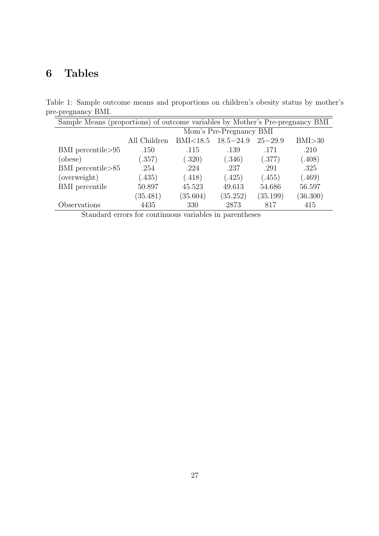# 6 Tables

Table 1: Sample outcome means and proportions on children's obesity status by mother's pre-pregnancy BMI.

| Sample Means (proportions) of outcome variables by Mother's Pre-pregnancy BMI |                         |          |               |             |          |  |
|-------------------------------------------------------------------------------|-------------------------|----------|---------------|-------------|----------|--|
|                                                                               | Mom's Pre-Pregnancy BMI |          |               |             |          |  |
|                                                                               | All Children            | BMI<18.5 | $18.5 - 24.9$ | $25 - 29.9$ | BMI > 30 |  |
| $BMI$ percentile $>95$                                                        | .150                    | .115     | .139          | .171        | .210     |  |
| (obese)                                                                       | (.357)                  | (.320)   | (.346)        | (.377)      | (.408)   |  |
| BMI percentile>85                                                             | .254                    | .224     | .237          | .291        | .325     |  |
| (overweight)                                                                  | (.435)                  | (.418)   | (.425)        | (.455)      | (.469)   |  |
| <b>BMI</b> percentile                                                         | 50.897                  | 45.523   | 49.613        | 54.686      | 56.597   |  |
|                                                                               | (35.481)                | (35.604) | (35.252)      | (35.199)    | (36.300) |  |
| Observations                                                                  | 4435                    | 330      | 2873          | 817         | 415      |  |

Standard errors for continuous variables in parentheses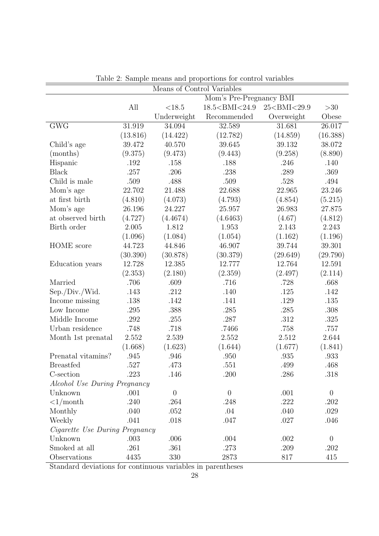|                                | Means of Control Variables |             |                                                                                           |                                                 |                  |  |
|--------------------------------|----------------------------|-------------|-------------------------------------------------------------------------------------------|-------------------------------------------------|------------------|--|
|                                | Mom's Pre-Pregnancy BMI    |             |                                                                                           |                                                 |                  |  |
|                                | All                        | < 18.5      | 18.5 <bmi<24.9< td=""><td>25<bmi<29.9< td=""><td>&gt;30</td></bmi<29.9<></td></bmi<24.9<> | 25 <bmi<29.9< td=""><td>&gt;30</td></bmi<29.9<> | >30              |  |
|                                |                            | Underweight | Recommended                                                                               | Overweight                                      | Obese            |  |
| <b>GWG</b>                     | 31.919                     | 34.094      | 32.589                                                                                    | 31.681                                          | 26.017           |  |
|                                | (13.816)                   | (14.422)    | (12.782)                                                                                  | (14.859)                                        | (16.388)         |  |
| Child's age                    | 39.472                     | 40.570      | 39.645                                                                                    | 39.132                                          | 38.072           |  |
| (months)                       | (9.375)                    | (9.473)     | (9.443)                                                                                   | (9.258)                                         | (8.890)          |  |
| Hispanic                       | .192                       | .158        | .188                                                                                      | .246                                            | .140             |  |
| <b>Black</b>                   | .257                       | .206        | .238                                                                                      | .289                                            | .369             |  |
| Child is male                  | .509                       | .488        | .509                                                                                      | .528                                            | .494             |  |
| Mom's age                      | 22.702                     | 21.488      | 22.688                                                                                    | 22.965                                          | 23.246           |  |
| at first birth                 | (4.810)                    | (4.073)     | (4.793)                                                                                   | (4.854)                                         | (5.215)          |  |
| Mom's age                      | 26.196                     | 24.227      | 25.957                                                                                    | 26.983                                          | 27.875           |  |
| at observed birth              | (4.727)                    | (4.4674)    | (4.6463)                                                                                  | (4.67)                                          | (4.812)          |  |
| Birth order                    | 2.005                      | 1.812       | 1.953                                                                                     | 2.143                                           | 2.243            |  |
|                                | (1.096)                    | (1.084)     | (1.054)                                                                                   | (1.162)                                         | (1.196)          |  |
| <b>HOME</b> score              | 44.723                     | 44.846      | 46.907                                                                                    | 39.744                                          | 39.301           |  |
|                                | (30.390)                   | (30.878)    | (30.379)                                                                                  | (29.649)                                        | (29.790)         |  |
| Education years                | 12.728                     | 12.385      | 12.777                                                                                    | 12.764                                          | 12.591           |  |
|                                | (2.353)                    | (2.180)     | (2.359)                                                                                   | (2.497)                                         | (2.114)          |  |
| Married                        | .706                       | .609        | .716                                                                                      | .728                                            | .668             |  |
| Sep./Div./Wid.                 | .143                       | .212        | .140                                                                                      | .125                                            | .142             |  |
| Income missing                 | .138                       | .142        | .141                                                                                      | .129                                            | .135             |  |
| Low Income                     | .295                       | .388        | .285                                                                                      | .285                                            | .308             |  |
| Middle Income                  | .292                       | .255        | .287                                                                                      | .312                                            | .325             |  |
| Urban residence                | .748                       | .718        | .7466                                                                                     | .758                                            | .757             |  |
| Month 1st prenatal             | 2.552                      | 2.539       | 2.552                                                                                     | 2.512                                           | 2.644            |  |
|                                | (1.668)                    | (1.623)     | (1.644)                                                                                   | (1.677)                                         | (1.841)          |  |
| Prenatal vitamins?             | .945                       | .946        | .950                                                                                      | .935                                            | .933             |  |
| <b>Breastfed</b>               | .527                       | .473        | .551                                                                                      | .499                                            | .468             |  |
| C-section                      | .223                       | .146        | .200                                                                                      | .286                                            | .318             |  |
| Alcohol Use During Pregnancy   |                            |             |                                                                                           |                                                 |                  |  |
| Unknown                        | .001                       | $\theta$    | $\theta$                                                                                  | .001                                            | $\boldsymbol{0}$ |  |
| $\langle 1/\text{month}$       | .240                       | .264        | .248                                                                                      | .222                                            | .202             |  |
| Monthly                        | .040                       | .052        | .04                                                                                       | .040                                            | .029             |  |
| Weekly                         | .041                       | .018        | .047                                                                                      | .027                                            | .046             |  |
| Cigarette Use During Pregnancy |                            |             |                                                                                           |                                                 |                  |  |
| Unknown                        | .003                       | .006        | .004                                                                                      | .002                                            | $\boldsymbol{0}$ |  |
| Smoked at all                  | .261                       | .361        | .273                                                                                      | .209                                            | .202             |  |
| Observations                   | 4435                       | 330         | 2873                                                                                      | 817                                             | 415              |  |

Table 2: Sample means and proportions for control variables

Standard deviations for continuous variables in parentheses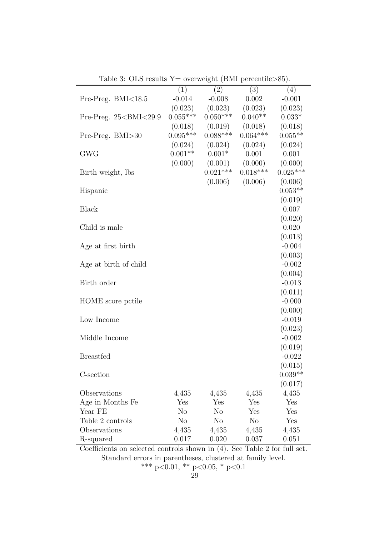| rable 9. One results $1 - 0$ or weight (DM1 percentifies 09).                                                                                                   |                |                     |                     |                     |
|-----------------------------------------------------------------------------------------------------------------------------------------------------------------|----------------|---------------------|---------------------|---------------------|
|                                                                                                                                                                 | (1)            | (2)                 | (3)                 | (4)                 |
| Pre-Preg. $BMI<18.5$                                                                                                                                            | $-0.014$       | $-0.008$            | 0.002               | $-0.001$            |
|                                                                                                                                                                 | (0.023)        | (0.023)             | (0.023)             | (0.023)             |
| Pre-Preg. 25 <bmi<29.9< td=""><td><math>0.055***</math></td><td><math>0.050***</math></td><td><math>0.040**</math></td><td><math>0.033*</math></td></bmi<29.9<> | $0.055***$     | $0.050***$          | $0.040**$           | $0.033*$            |
|                                                                                                                                                                 | (0.018)        | (0.019)             | (0.018)             | (0.018)             |
| Pre-Preg. BMI>30                                                                                                                                                | $0.095***$     | $0.088***$          | $0.064***$          | $0.055**$           |
|                                                                                                                                                                 | (0.024)        | $(0.024)$ $(0.024)$ |                     | (0.024)             |
| <b>GWG</b>                                                                                                                                                      | $0.001**$      |                     | $0.001*$ 0.001      | 0.001               |
|                                                                                                                                                                 | (0.000)        |                     | $(0.001)$ $(0.000)$ | (0.000)             |
| Birth weight, lbs                                                                                                                                               |                | $0.021***$          | $0.018***$          | $0.025***$          |
|                                                                                                                                                                 |                | (0.006)             | (0.006)             | (0.006)             |
| Hispanic                                                                                                                                                        |                |                     |                     | $0.053**$           |
|                                                                                                                                                                 |                |                     |                     | (0.019)             |
| <b>Black</b>                                                                                                                                                    |                |                     |                     | 0.007               |
|                                                                                                                                                                 |                |                     |                     | (0.020)             |
| Child is male                                                                                                                                                   |                |                     |                     | 0.020               |
|                                                                                                                                                                 |                |                     |                     | (0.013)             |
| Age at first birth                                                                                                                                              |                |                     |                     | $-0.004$            |
|                                                                                                                                                                 |                |                     |                     | (0.003)             |
| Age at birth of child                                                                                                                                           |                |                     |                     | $-0.002$            |
|                                                                                                                                                                 |                |                     |                     | (0.004)             |
| Birth order                                                                                                                                                     |                |                     |                     | $-0.013$            |
|                                                                                                                                                                 |                |                     |                     | (0.011)<br>$-0.000$ |
| HOME score pctile                                                                                                                                               |                |                     |                     | (0.000)             |
| Low Income                                                                                                                                                      |                |                     |                     | $-0.019$            |
|                                                                                                                                                                 |                |                     |                     | (0.023)             |
| Middle Income                                                                                                                                                   |                |                     |                     | $-0.002$            |
|                                                                                                                                                                 |                |                     |                     | (0.019)             |
| <b>Breastfed</b>                                                                                                                                                |                |                     |                     | $-0.022$            |
|                                                                                                                                                                 |                |                     |                     | (0.015)             |
| C-section                                                                                                                                                       |                |                     |                     | $0.039**$           |
|                                                                                                                                                                 |                |                     |                     | (0.017)             |
| Observations                                                                                                                                                    | 4,435          | 4,435               | 4,435               | 4,435               |
| Age in Months Fe                                                                                                                                                | Yes            | Yes                 | Yes                 | Yes                 |
| Year FE                                                                                                                                                         | N <sub>o</sub> | N <sub>o</sub>      | Yes                 | Yes                 |
| Table 2 controls                                                                                                                                                | No             | N <sub>o</sub>      | N <sub>o</sub>      | Yes                 |
| Observations                                                                                                                                                    | 4,435          | 4,435               | 4,435               | 4,435               |
| R-squared                                                                                                                                                       | 0.017          | 0.020               | 0.037               | 0.051               |

Table 3: OLS results  $Y=$  overweight (BMI percentile  $>85$ ).

Coefficients on selected controls shown in (4). See Table 2 for full set. Standard errors in parentheses, clustered at family level.

\*\*\* p<0.01, \*\* p<0.05, \* p<0.1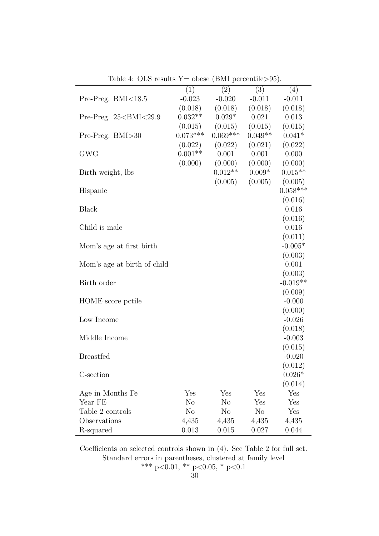|                             |                |                     | $\sum_{i=1}^{n}$ |                     |
|-----------------------------|----------------|---------------------|------------------|---------------------|
|                             | (1)            | (2)                 | (3)              | (4)                 |
| Pre-Preg. $BMI<18.5$        | $-0.023$       | $-0.020$            | $-0.011$         | $-0.011$            |
|                             | (0.018)        | (0.018)             | (0.018)          | (0.018)             |
| Pre-Preg. $25 < BMI < 29.9$ | $0.032**$      | $0.029*$            | 0.021            | 0.013               |
|                             |                | $(0.015)$ $(0.015)$ | (0.015)          | (0.015)             |
| Pre-Preg. BMI>30            | $0.073***$     | $0.069***$          | $0.049**$        | $0.041*$            |
|                             |                | $(0.022)$ $(0.022)$ | (0.021)          | (0.022)             |
| <b>GWG</b>                  | $0.001**$      | 0.001               | 0.001            | 0.000               |
|                             | (0.000)        | (0.000)             | (0.000)          | (0.000)             |
| Birth weight, lbs           |                | $0.012**$           | $0.009*$         | $0.015**$           |
|                             |                | (0.005)             | (0.005)          | (0.005)             |
| Hispanic                    |                |                     |                  | $0.058***$          |
|                             |                |                     |                  | (0.016)             |
| <b>Black</b>                |                |                     |                  | 0.016               |
|                             |                |                     |                  | (0.016)             |
| Child is male               |                |                     |                  | 0.016               |
|                             |                |                     |                  | (0.011)             |
| Mom's age at first birth    |                |                     |                  | $-0.005*$           |
|                             |                |                     |                  | (0.003)             |
| Mom's age at birth of child |                |                     |                  | 0.001               |
|                             |                |                     |                  | (0.003)             |
| Birth order                 |                |                     |                  | $-0.019**$          |
|                             |                |                     |                  | (0.009)             |
| HOME score pctile           |                |                     |                  | $-0.000$<br>(0.000) |
| Low Income                  |                |                     |                  | $-0.026$            |
|                             |                |                     |                  | (0.018)             |
| Middle Income               |                |                     |                  | $-0.003$            |
|                             |                |                     |                  | (0.015)             |
| <b>Breastfed</b>            |                |                     |                  | $-0.020$            |
|                             |                |                     |                  | (0.012)             |
| C-section                   |                |                     |                  | $0.026*$            |
|                             |                |                     |                  | (0.014)             |
| Age in Months Fe            | Yes            | Yes                 | Yes              | Yes                 |
| Year FE                     | No             | N <sub>o</sub>      | Yes              | Yes                 |
| Table 2 controls            | N <sub>o</sub> | N <sub>o</sub>      | N <sub>o</sub>   | Yes                 |
| Observations                | 4,435          | 4,435               | 4,435            | 4,435               |
| R-squared                   | 0.013          | 0.015               | 0.027            | 0.044               |

Table 4: OLS results  $Y =$  obese (BMI percentile > 95).

Coefficients on selected controls shown in (4). See Table 2 for full set. Standard errors in parentheses, clustered at family level

\*\*\* p<0.01, \*\* p<0.05, \* p<0.1

30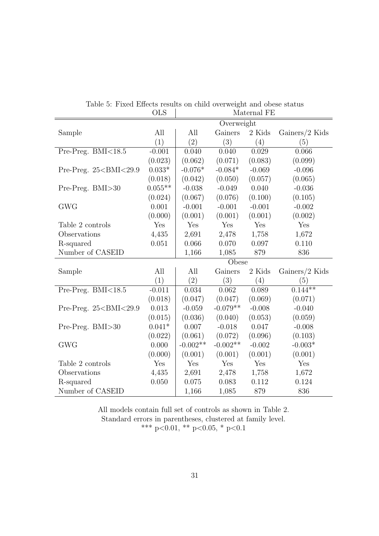|                                                                                                                                                                                          | Overweight |            |            |          |                         |  |
|------------------------------------------------------------------------------------------------------------------------------------------------------------------------------------------|------------|------------|------------|----------|-------------------------|--|
| Sample                                                                                                                                                                                   | All        | All        | Gainers    | 2 Kids   | $\text{Gainers}/2$ Kids |  |
|                                                                                                                                                                                          | (1)        | (2)        | (3)        | (4)      | (5)                     |  |
| Pre-Preg. $BMI<18.5$                                                                                                                                                                     | $-0.001$   | 0.040      | 0.040      | 0.029    | 0.066                   |  |
|                                                                                                                                                                                          | (0.023)    | (0.062)    | (0.071)    | (0.083)  | (0.099)                 |  |
| Pre-Preg. 25 <bmi<29.9< td=""><td><math>0.033*</math></td><td><math>-0.076*</math></td><td><math>-0.084*</math></td><td><math>-0.069</math></td><td><math>-0.096</math></td></bmi<29.9<> | $0.033*$   | $-0.076*$  | $-0.084*$  | $-0.069$ | $-0.096$                |  |
|                                                                                                                                                                                          | (0.018)    | (0.042)    | (0.050)    | (0.057)  | (0.065)                 |  |
| Pre-Preg. BMI>30                                                                                                                                                                         | $0.055**$  | $-0.038$   | $-0.049$   | 0.040    | $-0.036$                |  |
|                                                                                                                                                                                          | (0.024)    | (0.067)    | (0.076)    | (0.100)  | (0.105)                 |  |
| <b>GWG</b>                                                                                                                                                                               | 0.001      | $-0.001$   | $-0.001$   | $-0.001$ | $-0.002$                |  |
|                                                                                                                                                                                          | (0.000)    | (0.001)    | (0.001)    | (0.001)  | (0.002)                 |  |
| Table 2 controls                                                                                                                                                                         | Yes        | Yes        | Yes        | Yes      | Yes                     |  |
| Observations                                                                                                                                                                             | 4,435      | 2,691      | 2,478      | 1,758    | 1,672                   |  |
| R-squared                                                                                                                                                                                | 0.051      | 0.066      | 0.070      | 0.097    | 0.110                   |  |
| Number of CASEID                                                                                                                                                                         |            | 1,166      | 1,085      | 879      | 836                     |  |
|                                                                                                                                                                                          |            | Obese      |            |          |                         |  |
| Sample                                                                                                                                                                                   | All        | All        | Gainers    | 2 Kids   | $Gainers/2$ Kids        |  |
|                                                                                                                                                                                          | (1)        | (2)        | (3)        | (4)      | (5)                     |  |
| Pre-Preg. BMI<18.5                                                                                                                                                                       | $-0.011$   | 0.034      | 0.062      | 0.089    | $0.144**$               |  |
|                                                                                                                                                                                          | (0.018)    | (0.047)    | (0.047)    | (0.069)  | (0.071)                 |  |
| Pre-Preg. 25 <bmi<29.9< td=""><td>0.013</td><td><math>-0.059</math></td><td><math>-0.079**</math></td><td><math>-0.008</math></td><td><math>-0.040</math></td></bmi<29.9<>               | 0.013      | $-0.059$   | $-0.079**$ | $-0.008$ | $-0.040$                |  |
|                                                                                                                                                                                          | (0.015)    | (0.036)    | (0.040)    | (0.053)  | (0.059)                 |  |
| Pre-Preg. BMI>30                                                                                                                                                                         | $0.041*$   | 0.007      | $-0.018$   | 0.047    | $-0.008$                |  |
|                                                                                                                                                                                          | (0.022)    | (0.061)    | (0.072)    | (0.096)  | (0.103)                 |  |
| <b>GWG</b>                                                                                                                                                                               | 0.000      | $-0.002**$ | $-0.002**$ | $-0.002$ | $-0.003*$               |  |
|                                                                                                                                                                                          | (0.000)    | (0.001)    | (0.001)    | (0.001)  | (0.001)                 |  |
| Table 2 controls                                                                                                                                                                         | Yes        | Yes        | Yes        | Yes      | Yes                     |  |
| Observations                                                                                                                                                                             | 4,435      | 2,691      | 2,478      | 1,758    | 1,672                   |  |
| R-squared                                                                                                                                                                                | 0.050      | 0.075      | 0.083      | 0.112    | 0.124                   |  |
| Number of CASEID                                                                                                                                                                         |            | 1,166      | 1,085      | 879      | 836                     |  |

Table 5: Fixed Effects results on child overweight and obese status OLS Maternal FE

All models contain full set of controls as shown in Table 2. Standard errors in parentheses, clustered at family level. \*\*\* p<0.01, \*\* p<0.05, \* p<0.1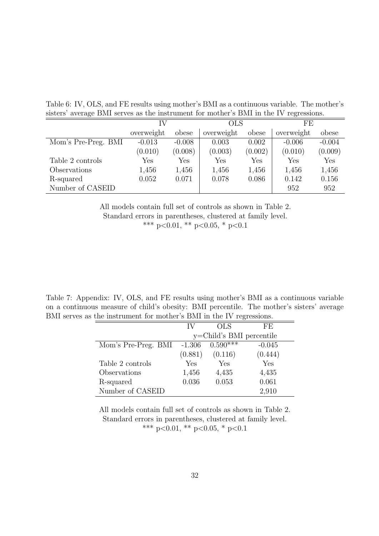|                     | IV         |          | <b>OLS</b> |         | FE         |          |
|---------------------|------------|----------|------------|---------|------------|----------|
|                     | overweight | obese    | overweight | obese   | overweight | obese    |
| Mom's Pre-Preg. BMI | $-0.013$   | $-0.008$ | 0.003      | 0.002   | $-0.006$   | $-0.004$ |
|                     | (0.010)    | (0.008)  | (0.003)    | (0.002) | (0.010)    | (0.009)  |
| Table 2 controls    | Yes        | Yes      | Yes        | Yes     | Yes        | Yes      |
| Observations        | 1,456      | 1,456    | 1,456      | 1,456   | 1,456      | 1,456    |
| R-squared           | 0.052      | 0.071    | 0.078      | 0.086   | 0.142      | 0.156    |
| Number of CASEID    |            |          |            |         | 952        | 952      |

Table 6: IV, OLS, and FE results using mother's BMI as a continuous variable. The mother's sisters' average BMI serves as the instrument for mother's BMI in the IV regressions.

All models contain full set of controls as shown in Table 2. Standard errors in parentheses, clustered at family level. \*\*\* p<0.01, \*\* p<0.05, \* p<0.1

Table 7: Appendix: IV, OLS, and FE results using mother's BMI as a continuous variable on a continuous measure of child's obesity: BMI percentile. The mother's sisters' average BMI serves as the instrument for mother's BMI in the IV regressions.

|                     | IV       | OLS.                     | FF.      |
|---------------------|----------|--------------------------|----------|
|                     |          | y=Child's BMI percentile |          |
| Mom's Pre-Preg. BMI | $-1.306$ | $0.5\overline{90***}$    | $-0.045$ |
|                     | (0.881)  | (0.116)                  | (0.444)  |
| Table 2 controls    | Yes      | Yes                      | Yes      |
| Observations        | 1,456    | 4,435                    | 4,435    |
| R-squared           | 0.036    | 0.053                    | 0.061    |
| Number of CASEID    |          |                          | 2,910    |

All models contain full set of controls as shown in Table 2. Standard errors in parentheses, clustered at family level. \*\*\* p<0.01, \*\* p<0.05, \* p<0.1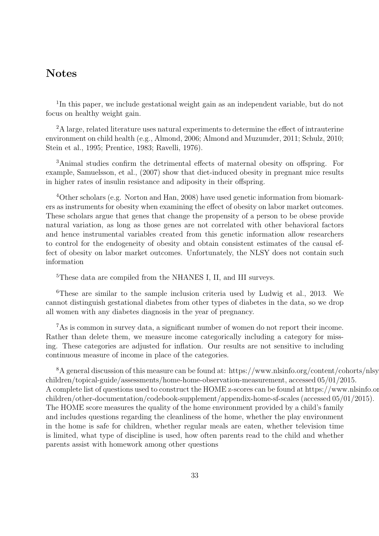## Notes

<sup>1</sup>In this paper, we include gestational weight gain as an independent variable, but do not focus on healthy weight gain.

<sup>2</sup>A large, related literature uses natural experiments to determine the effect of intrauterine environment on child health (e.g., Almond, 2006; Almond and Muzumder, 2011; Schulz, 2010; Stein et al., 1995; Prentice, 1983; Ravelli, 1976).

<sup>3</sup>Animal studies confirm the detrimental effects of maternal obesity on offspring. For example, Samuelsson, et al., (2007) show that diet-induced obesity in pregnant mice results in higher rates of insulin resistance and adiposity in their offspring.

<sup>4</sup>Other scholars (e.g. Norton and Han, 2008) have used genetic information from biomarkers as instruments for obesity when examining the effect of obesity on labor market outcomes. These scholars argue that genes that change the propensity of a person to be obese provide natural variation, as long as those genes are not correlated with other behavioral factors and hence instrumental variables created from this genetic information allow researchers to control for the endogeneity of obesity and obtain consistent estimates of the causal effect of obesity on labor market outcomes. Unfortunately, the NLSY does not contain such information

<sup>5</sup>These data are compiled from the NHANES I, II, and III surveys.

<sup>6</sup>These are similar to the sample inclusion criteria used by Ludwig et al., 2013. We cannot distinguish gestational diabetes from other types of diabetes in the data, so we drop all women with any diabetes diagnosis in the year of pregnancy.

<sup>7</sup>As is common in survey data, a significant number of women do not report their income. Rather than delete them, we measure income categorically including a category for missing. These categories are adjusted for inflation. Our results are not sensitive to including continuous measure of income in place of the categories.

<sup>8</sup>A general discussion of this measure can be found at: https://www.nlsinfo.org/content/cohorts/nlsy children/topical-guide/assessments/home-home-observation-measurement, accessed 05/01/2015. A complete list of questions used to construct the HOME z-scores can be found at https://www.nlsinfo.org children/other-documentation/codebook-supplement/appendix-home-sf-scales (accessed 05/01/2015). The HOME score measures the quality of the home environment provided by a child's family and includes questions regarding the cleanliness of the home, whether the play environment in the home is safe for children, whether regular meals are eaten, whether television time is limited, what type of discipline is used, how often parents read to the child and whether parents assist with homework among other questions